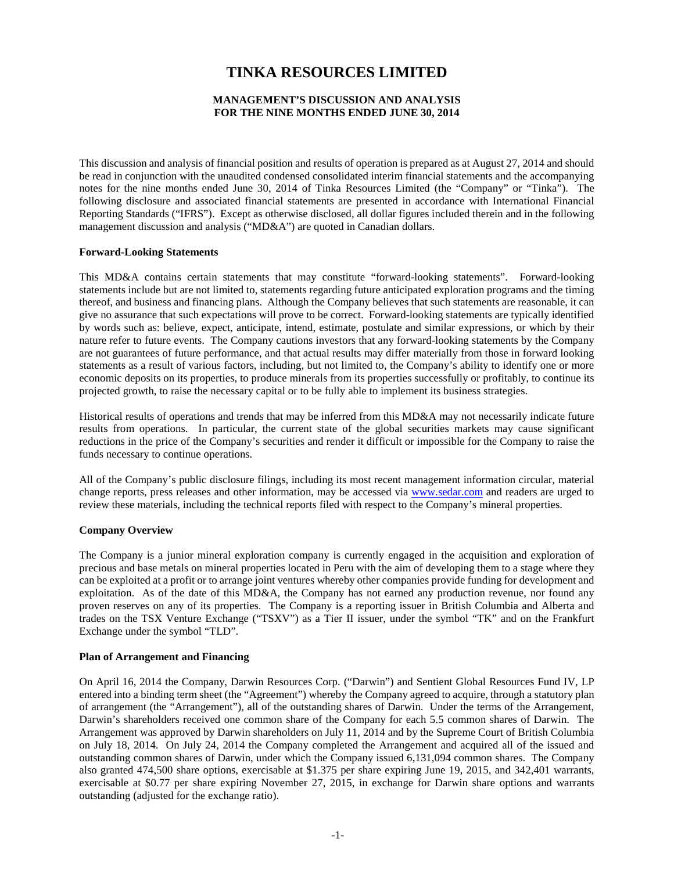# **TINKA RESOURCES LIMITED**

## **MANAGEMENT'S DISCUSSION AND ANALYSIS FOR THE NINE MONTHS ENDED JUNE 30, 2014**

This discussion and analysis of financial position and results of operation is prepared as at August 27, 2014 and should be read in conjunction with the unaudited condensed consolidated interim financial statements and the accompanying notes for the nine months ended June 30, 2014 of Tinka Resources Limited (the "Company" or "Tinka"). The following disclosure and associated financial statements are presented in accordance with International Financial Reporting Standards ("IFRS"). Except as otherwise disclosed, all dollar figures included therein and in the following management discussion and analysis ("MD&A") are quoted in Canadian dollars.

#### **Forward-Looking Statements**

This MD&A contains certain statements that may constitute "forward-looking statements". Forward-looking statements include but are not limited to, statements regarding future anticipated exploration programs and the timing thereof, and business and financing plans. Although the Company believes that such statements are reasonable, it can give no assurance that such expectations will prove to be correct. Forward-looking statements are typically identified by words such as: believe, expect, anticipate, intend, estimate, postulate and similar expressions, or which by their nature refer to future events. The Company cautions investors that any forward-looking statements by the Company are not guarantees of future performance, and that actual results may differ materially from those in forward looking statements as a result of various factors, including, but not limited to, the Company's ability to identify one or more economic deposits on its properties, to produce minerals from its properties successfully or profitably, to continue its projected growth, to raise the necessary capital or to be fully able to implement its business strategies.

Historical results of operations and trends that may be inferred from this MD&A may not necessarily indicate future results from operations. In particular, the current state of the global securities markets may cause significant reductions in the price of the Company's securities and render it difficult or impossible for the Company to raise the funds necessary to continue operations.

All of the Company's public disclosure filings, including its most recent management information circular, material change reports, press releases and other information, may be accessed via [www.sedar.com](http://www.sedar.com/) and readers are urged to review these materials, including the technical reports filed with respect to the Company's mineral properties.

# **Company Overview**

The Company is a junior mineral exploration company is currently engaged in the acquisition and exploration of precious and base metals on mineral properties located in Peru with the aim of developing them to a stage where they can be exploited at a profit or to arrange joint ventures whereby other companies provide funding for development and exploitation. As of the date of this MD&A, the Company has not earned any production revenue, nor found any proven reserves on any of its properties. The Company is a reporting issuer in British Columbia and Alberta and trades on the TSX Venture Exchange ("TSXV") as a Tier II issuer, under the symbol "TK" and on the Frankfurt Exchange under the symbol "TLD".

#### **Plan of Arrangement and Financing**

On April 16, 2014 the Company, Darwin Resources Corp. ("Darwin") and Sentient Global Resources Fund IV, LP entered into a binding term sheet (the "Agreement") whereby the Company agreed to acquire, through a statutory plan of arrangement (the "Arrangement"), all of the outstanding shares of Darwin. Under the terms of the Arrangement, Darwin's shareholders received one common share of the Company for each 5.5 common shares of Darwin. The Arrangement was approved by Darwin shareholders on July 11, 2014 and by the Supreme Court of British Columbia on July 18, 2014. On July 24, 2014 the Company completed the Arrangement and acquired all of the issued and outstanding common shares of Darwin, under which the Company issued 6,131,094 common shares. The Company also granted 474,500 share options, exercisable at \$1.375 per share expiring June 19, 2015, and 342,401 warrants, exercisable at \$0.77 per share expiring November 27, 2015, in exchange for Darwin share options and warrants outstanding (adjusted for the exchange ratio).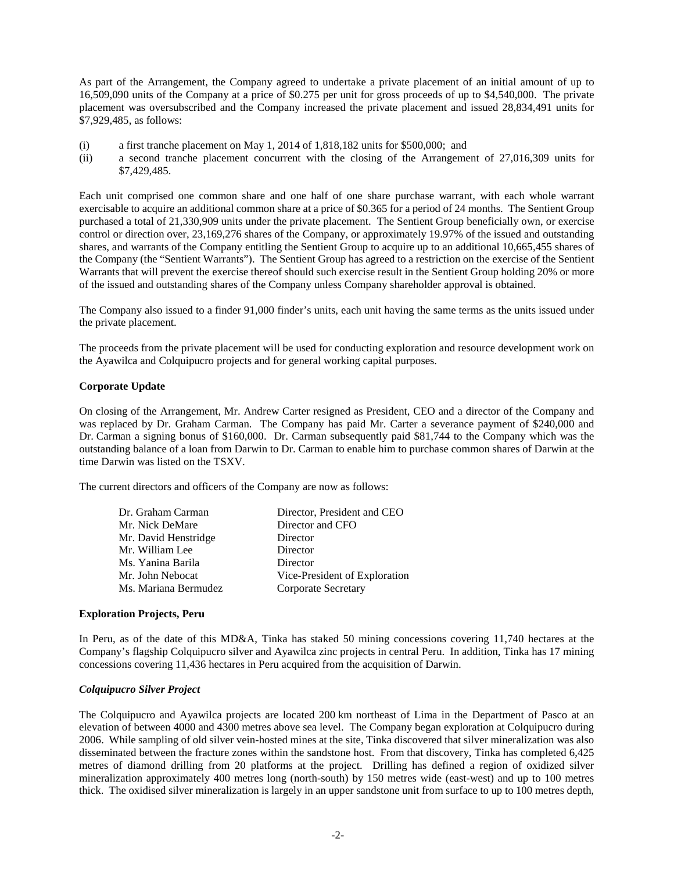As part of the Arrangement, the Company agreed to undertake a private placement of an initial amount of up to 16,509,090 units of the Company at a price of \$0.275 per unit for gross proceeds of up to \$4,540,000. The private placement was oversubscribed and the Company increased the private placement and issued 28,834,491 units for \$7,929,485, as follows:

- (i) a first tranche placement on May 1, 2014 of 1,818,182 units for \$500,000; and
- (ii) a second tranche placement concurrent with the closing of the Arrangement of 27,016,309 units for \$7,429,485.

Each unit comprised one common share and one half of one share purchase warrant, with each whole warrant exercisable to acquire an additional common share at a price of \$0.365 for a period of 24 months. The Sentient Group purchased a total of 21,330,909 units under the private placement. The Sentient Group beneficially own, or exercise control or direction over, 23,169,276 shares of the Company, or approximately 19.97% of the issued and outstanding shares, and warrants of the Company entitling the Sentient Group to acquire up to an additional 10,665,455 shares of the Company (the "Sentient Warrants"). The Sentient Group has agreed to a restriction on the exercise of the Sentient Warrants that will prevent the exercise thereof should such exercise result in the Sentient Group holding 20% or more of the issued and outstanding shares of the Company unless Company shareholder approval is obtained.

The Company also issued to a finder 91,000 finder's units, each unit having the same terms as the units issued under the private placement.

The proceeds from the private placement will be used for conducting exploration and resource development work on the Ayawilca and Colquipucro projects and for general working capital purposes.

# **Corporate Update**

On closing of the Arrangement, Mr. Andrew Carter resigned as President, CEO and a director of the Company and was replaced by Dr. Graham Carman. The Company has paid Mr. Carter a severance payment of \$240,000 and Dr. Carman a signing bonus of \$160,000. Dr. Carman subsequently paid \$81,744 to the Company which was the outstanding balance of a loan from Darwin to Dr. Carman to enable him to purchase common shares of Darwin at the time Darwin was listed on the TSXV.

The current directors and officers of the Company are now as follows:

| Dr. Graham Carman    | Director, President and CEO   |
|----------------------|-------------------------------|
| Mr. Nick DeMare      | Director and CFO              |
| Mr. David Henstridge | Director                      |
| Mr. William Lee      | Director                      |
| Ms. Yanina Barila    | Director                      |
| Mr. John Nebocat     | Vice-President of Exploration |
| Ms. Mariana Bermudez | <b>Corporate Secretary</b>    |
|                      |                               |

# **Exploration Projects, Peru**

In Peru, as of the date of this MD&A, Tinka has staked 50 mining concessions covering 11,740 hectares at the Company's flagship Colquipucro silver and Ayawilca zinc projects in central Peru. In addition, Tinka has 17 mining concessions covering 11,436 hectares in Peru acquired from the acquisition of Darwin.

# *Colquipucro Silver Project*

The Colquipucro and Ayawilca projects are located 200 km northeast of Lima in the Department of Pasco at an elevation of between 4000 and 4300 metres above sea level. The Company began exploration at Colquipucro during 2006. While sampling of old silver vein-hosted mines at the site, Tinka discovered that silver mineralization was also disseminated between the fracture zones within the sandstone host. From that discovery, Tinka has completed 6,425 metres of diamond drilling from 20 platforms at the project. Drilling has defined a region of oxidized silver mineralization approximately 400 metres long (north-south) by 150 metres wide (east-west) and up to 100 metres thick. The oxidised silver mineralization is largely in an upper sandstone unit from surface to up to 100 metres depth,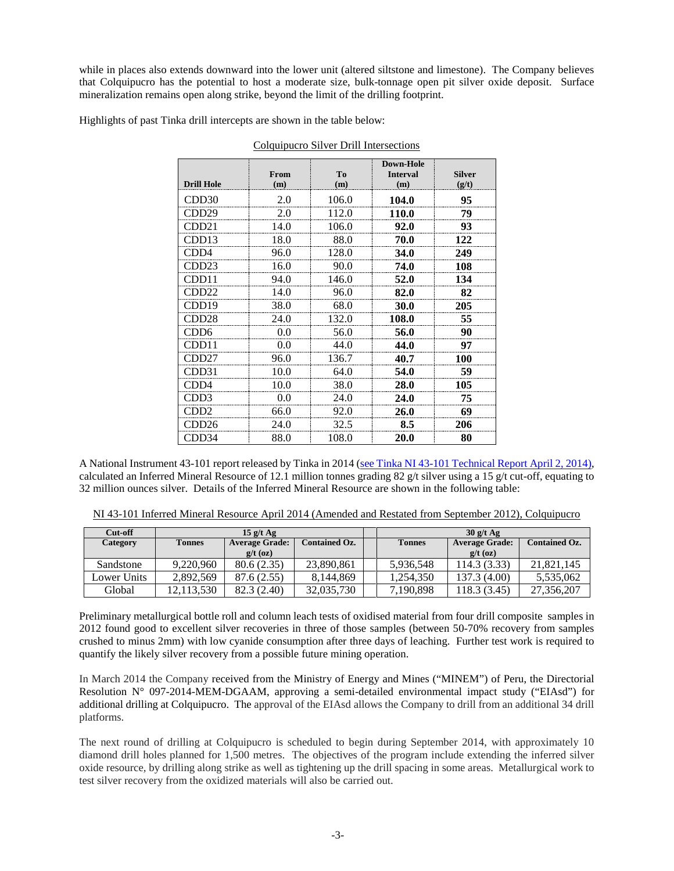while in places also extends downward into the lower unit (altered siltstone and limestone). The Company believes that Colquipucro has the potential to host a moderate size, bulk-tonnage open pit silver oxide deposit. Surface mineralization remains open along strike, beyond the limit of the drilling footprint.

Highlights of past Tinka drill intercepts are shown in the table below:

|                   |             |                       | <b>Down-Hole</b>       |                        |
|-------------------|-------------|-----------------------|------------------------|------------------------|
| <b>Drill Hole</b> | From<br>(m) | T <sub>0</sub><br>(m) | <b>Interval</b><br>(m) | <b>Silver</b><br>(g/t) |
| CDD <sub>30</sub> | 2.0         | 106.0                 | 104.0                  | 95                     |
| CDD <sub>29</sub> | 2.0         | 112.0                 | 110.0                  | 79                     |
| CDD <sub>21</sub> | 14.0        | 106.0                 | 92.0                   | 93                     |
| CDD13             | 18.0        | 88.0                  | 70.0                   | 122                    |
| CDD4              | 96.0        | 128.0                 | 34.0                   | 249                    |
| CDD <sub>23</sub> | 16.0        | 90.0                  | 74.0                   | 108                    |
| CDD11             | 94.0        | 146.0                 | 52.0                   | 134                    |
| CDD <sub>22</sub> | 14.0        | 96.0                  | 82.0                   | 82                     |
| CDD19             | 38.0        | 68.0                  | 30.0                   | 205                    |
| CDD <sub>28</sub> | 24.0        | 132.0                 | 108.0                  | 55                     |
| CDD6              | 0.0         | 56.0                  | 56.0                   | 90                     |
| CDD11             | 0.0         | 44.0                  | 44.0                   | 97                     |
| CDD <sub>27</sub> | 96.0        | 136.7                 | 40.7                   | 100                    |
| CDD31             | 10.0        | 64.0                  | 54.0                   | 59                     |
| CDD4              | 10.0        | 38.0                  | 28.0                   | 105                    |
| CDD3              | 0.0         | 24.0                  | 24.0                   | 75                     |
| CDD <sub>2</sub>  | 66.0        | 92.0                  | 26.0                   | 69                     |
| CDD <sub>26</sub> | 24.0        | 32.5                  | 8.5                    | 206                    |
| CDD34             | 88.0        | 108.0                 | 20.0                   | 80                     |

Colquipucro Silver Drill Intersections

A National Instrument 43-101 report released by Tinka in 2014 [\(see Tinka NI 43-101 Technical Report](http://www.tinkaresources.com/i/pdf/reports/2014-04-02_ColquipucroNI43-101.pdf) April 2, 2014), calculated an Inferred Mineral Resource of 12.1 million tonnes grading 82 g/t silver using a 15 g/t cut-off, equating to 32 million ounces silver. Details of the Inferred Mineral Resource are shown in the following table:

NI 43-101 Inferred Mineral Resource April 2014 (Amended and Restated from September 2012), Colquipucro

| Cut-off     | $15 \frac{\mathrm{g}}{\mathrm{t}} \text{Ag}$ |                       |                      |  |               | 30 g/t Ag             |                      |
|-------------|----------------------------------------------|-----------------------|----------------------|--|---------------|-----------------------|----------------------|
| Category    | <b>Tonnes</b>                                | <b>Average Grade:</b> | <b>Contained Oz.</b> |  | <b>Tonnes</b> | <b>Average Grade:</b> | <b>Contained Oz.</b> |
|             |                                              | $g/t$ (oz)            |                      |  |               | $g/t$ (oz)            |                      |
| Sandstone   | 9.220.960                                    | 80.6(2.35)            | 23.890.861           |  | 5.936.548     | 114.3(3.33)           | 21.821.145           |
| Lower Units | 2.892.569                                    | 87.6 (2.55)           | 8.144.869            |  | 1.254.350     | 137.3 (4.00)          | 5,535,062            |
| Global      | 12.113.530                                   | 82.3 (2.40)           | 32,035,730           |  | 7.190.898     | 118.3 (3.45)          | 27,356,207           |

Preliminary metallurgical bottle roll and column leach tests of oxidised material from four drill composite samples in 2012 found good to excellent silver recoveries in three of those samples (between 50-70% recovery from samples crushed to minus 2mm) with low cyanide consumption after three days of leaching. Further test work is required to quantify the likely silver recovery from a possible future mining operation.

In March 2014 the Company received from the Ministry of Energy and Mines ("MINEM") of Peru, the Directorial Resolution N° 097-2014-MEM-DGAAM, approving a semi-detailed environmental impact study ("EIAsd") for additional drilling at Colquipucro. The approval of the EIAsd allows the Company to drill from an additional 34 drill platforms.

The next round of drilling at Colquipucro is scheduled to begin during September 2014, with approximately 10 diamond drill holes planned for 1,500 metres. The objectives of the program include extending the inferred silver oxide resource, by drilling along strike as well as tightening up the drill spacing in some areas. Metallurgical work to test silver recovery from the oxidized materials will also be carried out.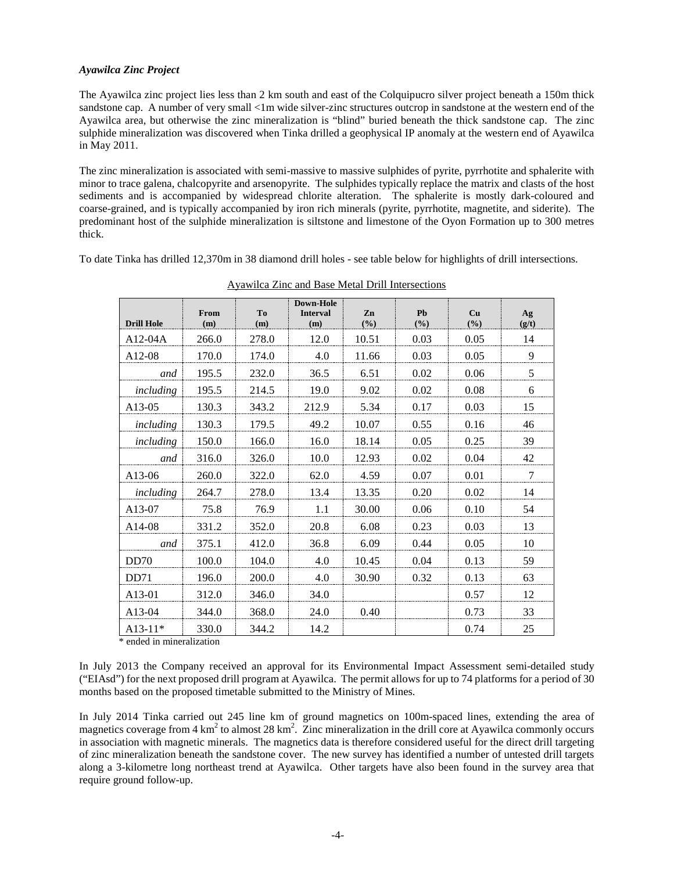## *Ayawilca Zinc Project*

The Ayawilca zinc project lies less than 2 km south and east of the Colquipucro silver project beneath a 150m thick sandstone cap. A number of very small <1m wide silver-zinc structures outcrop in sandstone at the western end of the Ayawilca area, but otherwise the zinc mineralization is "blind" buried beneath the thick sandstone cap. The zinc sulphide mineralization was discovered when Tinka drilled a geophysical IP anomaly at the western end of Ayawilca in May 2011.

The zinc mineralization is associated with semi-massive to massive sulphides of pyrite, pyrrhotite and sphalerite with minor to trace galena, chalcopyrite and arsenopyrite. The sulphides typically replace the matrix and clasts of the host sediments and is accompanied by widespread chlorite alteration. The sphalerite is mostly dark-coloured and coarse-grained, and is typically accompanied by iron rich minerals (pyrite, pyrrhotite, magnetite, and siderite). The predominant host of the sulphide mineralization is siltstone and limestone of the Oyon Formation up to 300 metres thick.

To date Tinka has drilled 12,370m in 38 diamond drill holes - see table below for highlights of drill intersections.

| <b>Drill Hole</b>   | From<br>(m) | T <sub>0</sub><br>(m) | Down-Hole<br><b>Interval</b><br>(m) | Zn<br>(9/0) | Pb<br>(%) | <b>Cu</b><br>(9/0) | Ag<br>(g/t)    |
|---------------------|-------------|-----------------------|-------------------------------------|-------------|-----------|--------------------|----------------|
| $A12-04A$           | 266.0       | 278.0                 | 12.0                                | 10.51       | 0.03      | 0.05               | 14             |
| A <sub>12</sub> -08 | 170.0       | 174.0                 | 4.0                                 | 11.66       | 0.03      | 0.05               | 9              |
| and                 | 195.5       | 232.0                 | 36.5                                | 6.51        | 0.02      | 0.06               | 5              |
| including           | 195.5       | 214.5                 | 19.0                                | 9.02        | 0.02      | 0.08               | 6              |
| A13-05              | 130.3       | 343.2                 | 212.9                               | 5.34        | 0.17      | 0.03               | 15             |
| including           | 130.3       | 179.5                 | 49.2                                | 10.07       | 0.55      | 0.16               | 46             |
| including           | 150.0       | 166.0                 | 16.0                                | 18.14       | 0.05      | 0.25               | 39             |
| and                 | 316.0       | 326.0                 | 10.0                                | 12.93       | 0.02      | 0.04               | 42             |
| A13-06              | 260.0       | 322.0                 | 62.0                                | 4.59        | 0.07      | 0.01               | $\overline{7}$ |
| including           | 264.7       | 278.0                 | 13.4                                | 13.35       | 0.20      | 0.02               | 14             |
| A13-07              | 75.8        | 76.9                  | 1.1                                 | 30.00       | 0.06      | 0.10               | 54             |
| A14-08              | 331.2       | 352.0                 | 20.8                                | 6.08        | 0.23      | 0.03               | 13             |
| and                 | 375.1       | 412.0                 | 36.8                                | 6.09        | 0.44      | 0.05               | 10             |
| DD <sub>70</sub>    | 100.0       | 104.0                 | 4.0                                 | 10.45       | 0.04      | 0.13               | 59             |
| DD71                | 196.0       | 200.0                 | 4.0                                 | 30.90       | 0.32      | 0.13               | 63             |
| A <sub>13</sub> -01 | 312.0       | 346.0                 | 34.0                                |             |           | 0.57               | 12             |
| A13-04              | 344.0       | 368.0                 | 24.0                                | 0.40        |           | 0.73               | 33             |
| $A13-11*$           | 330.0       | 344.2                 | 14.2                                |             |           | 0.74               | 25             |

Ayawilca Zinc and Base Metal Drill Intersections

\* ended in mineralization

In July 2013 the Company received an approval for its Environmental Impact Assessment semi-detailed study ("EIAsd") for the next proposed drill program at Ayawilca. The permit allows for up to 74 platforms for a period of 30 months based on the proposed timetable submitted to the Ministry of Mines.

In July 2014 Tinka carried out 245 line km of ground magnetics on 100m-spaced lines, extending the area of magnetics coverage from  $4 \text{ km}^2$  to almost  $28 \text{ km}^2$ . Zinc mineralization in the drill core at Ayawilca commonly occurs in association with magnetic minerals. The magnetics data is therefore considered useful for the direct drill targeting of zinc mineralization beneath the sandstone cover. The new survey has identified a number of untested drill targets along a 3-kilometre long northeast trend at Ayawilca. Other targets have also been found in the survey area that require ground follow-up.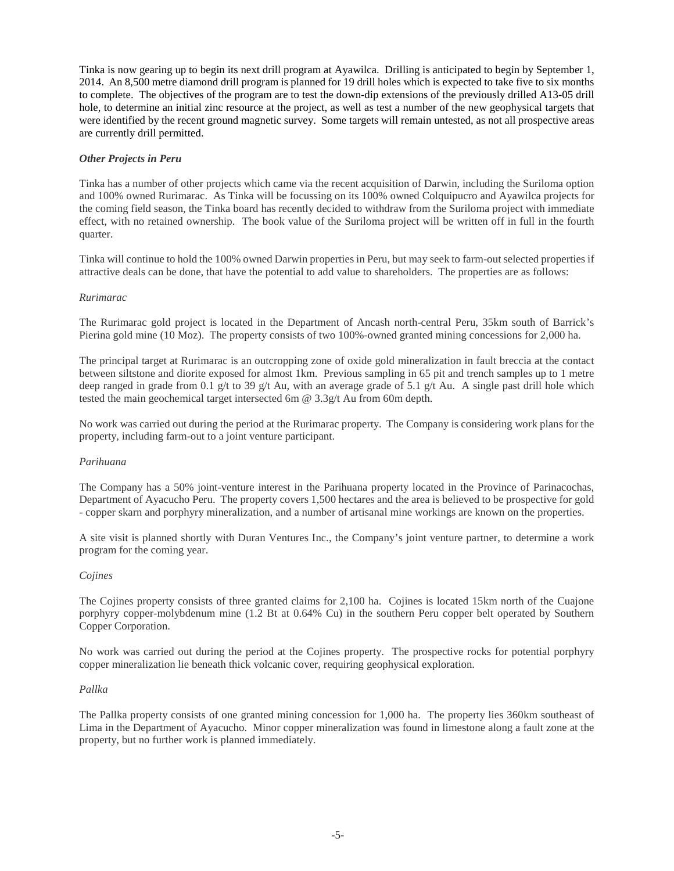Tinka is now gearing up to begin its next drill program at Ayawilca. Drilling is anticipated to begin by September 1, 2014. An 8,500 metre diamond drill program is planned for 19 drill holes which is expected to take five to six months to complete. The objectives of the program are to test the down-dip extensions of the previously drilled A13-05 drill hole, to determine an initial zinc resource at the project, as well as test a number of the new geophysical targets that were identified by the recent ground magnetic survey. Some targets will remain untested, as not all prospective areas are currently drill permitted.

# *Other Projects in Peru*

Tinka has a number of other projects which came via the recent acquisition of Darwin, including the Suriloma option and 100% owned Rurimarac. As Tinka will be focussing on its 100% owned Colquipucro and Ayawilca projects for the coming field season, the Tinka board has recently decided to withdraw from the Suriloma project with immediate effect, with no retained ownership. The book value of the Suriloma project will be written off in full in the fourth quarter.

Tinka will continue to hold the 100% owned Darwin properties in Peru, but may seek to farm-out selected properties if attractive deals can be done, that have the potential to add value to shareholders. The properties are as follows:

#### *Rurimarac*

The Rurimarac gold project is located in the Department of Ancash north-central Peru, 35km south of Barrick's Pierina gold mine (10 Moz). The property consists of two 100%-owned granted mining concessions for 2,000 ha.

The principal target at Rurimarac is an outcropping zone of oxide gold mineralization in fault breccia at the contact between siltstone and diorite exposed for almost 1km. Previous sampling in 65 pit and trench samples up to 1 metre deep ranged in grade from 0.1 g/t to 39 g/t Au, with an average grade of 5.1 g/t Au. A single past drill hole which tested the main geochemical target intersected 6m @ 3.3g/t Au from 60m depth.

No work was carried out during the period at the Rurimarac property. The Company is considering work plans for the property, including farm-out to a joint venture participant.

#### *Parihuana*

The Company has a 50% joint-venture interest in the Parihuana property located in the Province of Parinacochas, Department of Ayacucho Peru. The property covers 1,500 hectares and the area is believed to be prospective for gold - copper skarn and porphyry mineralization, and a number of artisanal mine workings are known on the properties.

A site visit is planned shortly with Duran Ventures Inc., the Company's joint venture partner, to determine a work program for the coming year.

#### *Cojines*

The Cojines property consists of three granted claims for 2,100 ha. Cojines is located 15km north of the Cuajone porphyry copper-molybdenum mine (1.2 Bt at 0.64% Cu) in the southern Peru copper belt operated by Southern Copper Corporation.

No work was carried out during the period at the Cojines property. The prospective rocks for potential porphyry copper mineralization lie beneath thick volcanic cover, requiring geophysical exploration.

#### *Pallka*

The Pallka property consists of one granted mining concession for 1,000 ha. The property lies 360km southeast of Lima in the Department of Ayacucho. Minor copper mineralization was found in limestone along a fault zone at the property, but no further work is planned immediately.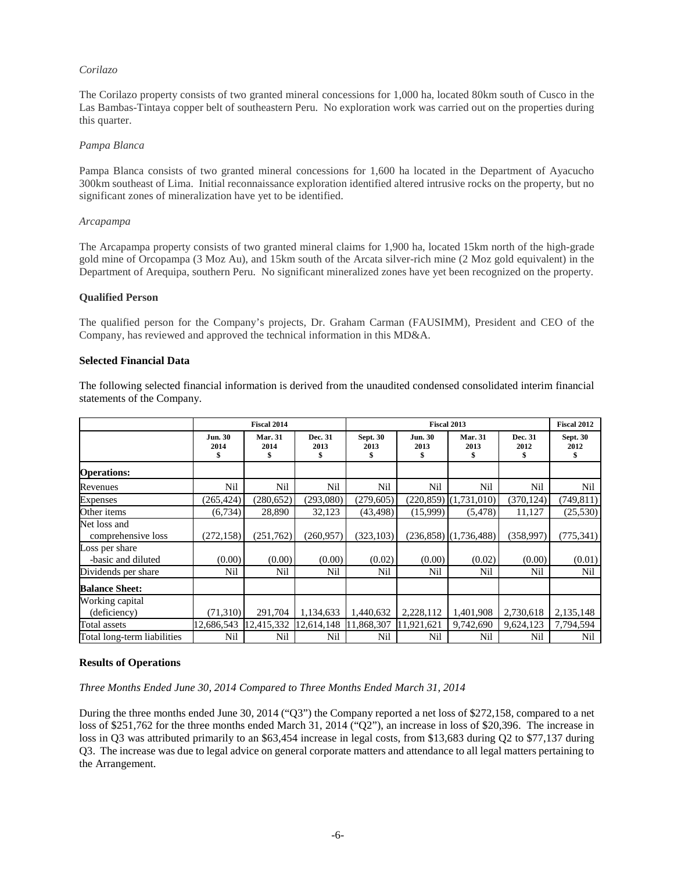## *Corilazo*

The Corilazo property consists of two granted mineral concessions for 1,000 ha, located 80km south of Cusco in the Las Bambas-Tintaya copper belt of southeastern Peru. No exploration work was carried out on the properties during this quarter.

#### *Pampa Blanca*

Pampa Blanca consists of two granted mineral concessions for 1,600 ha located in the Department of Ayacucho 300km southeast of Lima. Initial reconnaissance exploration identified altered intrusive rocks on the property, but no significant zones of mineralization have yet to be identified.

#### *Arcapampa*

The Arcapampa property consists of two granted mineral claims for 1,900 ha, located 15km north of the high-grade gold mine of Orcopampa (3 Moz Au), and 15km south of the Arcata silver-rich mine (2 Moz gold equivalent) in the Department of Arequipa, southern Peru. No significant mineralized zones have yet been recognized on the property.

#### **Qualified Person**

The qualified person for the Company's projects, Dr. Graham Carman (FAUSIMM), President and CEO of the Company, has reviewed and approved the technical information in this MD&A.

#### **Selected Financial Data**

The following selected financial information is derived from the unaudited condensed consolidated interim financial statements of the Company.

|                                      | <b>Fiscal 2014</b>           |                             |                 | <b>Fiscal 2013</b>            |                        |                              |                       | <b>Fiscal 2012</b>      |
|--------------------------------------|------------------------------|-----------------------------|-----------------|-------------------------------|------------------------|------------------------------|-----------------------|-------------------------|
|                                      | <b>Jun. 30</b><br>2014<br>\$ | <b>Mar. 31</b><br>2014<br>S | Dec. 31<br>2013 | <b>Sept. 30</b><br>2013<br>\$ | <b>Jun. 30</b><br>2013 | <b>Mar. 31</b><br>2013<br>\$ | Dec. 31<br>2012<br>\$ | <b>Sept. 30</b><br>2012 |
| <b>Operations:</b>                   |                              |                             |                 |                               |                        |                              |                       |                         |
| Revenues                             | Nil                          | Nil                         | Nil             | Nil                           | Nil                    | Nil                          | Nil                   | Nil                     |
| <b>Expenses</b>                      | (265, 424)                   | (280, 652)                  | (293,080)       | (279, 605)                    |                        | $(220,859)$ $(1,731,010)$    | (370, 124)            | (749, 811)              |
| Other items                          | (6, 734)                     | 28,890                      | 32,123          | (43, 498)                     | (15,999)               | (5, 478)                     | 11,127                | (25,530)                |
| Net loss and<br>comprehensive loss   | (272, 158)                   | (251,762)                   | (260, 957)      | (323, 103)                    |                        | $(236,858)$ $(1,736,488)$    | (358,997)             | (775, 341)              |
| Loss per share<br>-basic and diluted | (0.00)                       | (0.00)                      | (0.00)          | (0.02)                        | (0.00)                 | (0.02)                       | (0.00)                | (0.01)                  |
| Dividends per share                  | Nil                          | Nil                         | Nil             | Nil                           | Nil                    | Nil                          | Nil                   | Nil                     |
| <b>Balance Sheet:</b>                |                              |                             |                 |                               |                        |                              |                       |                         |
| Working capital<br>(deficiency)      | (71,310)                     | 291,704                     | 1,134,633       | 1,440,632                     | 2,228,112              | 1,401,908                    | 2,730,618             | 2,135,148               |
| Total assets                         | 12,686,543                   | 12,415,332                  | 12,614,148      | 11,868,307                    | 11,921,621             | 9,742,690                    | 9,624,123             | 7,794,594               |
| Total long-term liabilities          | Nil                          | Nil                         | Nil             | Nil                           | Nil                    | Nil                          | Nil                   | Nil                     |

#### **Results of Operations**

*Three Months Ended June 30, 2014 Compared to Three Months Ended March 31, 2014*

During the three months ended June 30, 2014 ("Q3") the Company reported a net loss of \$272,158, compared to a net loss of \$251,762 for the three months ended March 31, 2014 ("Q2"), an increase in loss of \$20,396. The increase in loss in Q3 was attributed primarily to an \$63,454 increase in legal costs, from \$13,683 during Q2 to \$77,137 during Q3. The increase was due to legal advice on general corporate matters and attendance to all legal matters pertaining to the Arrangement.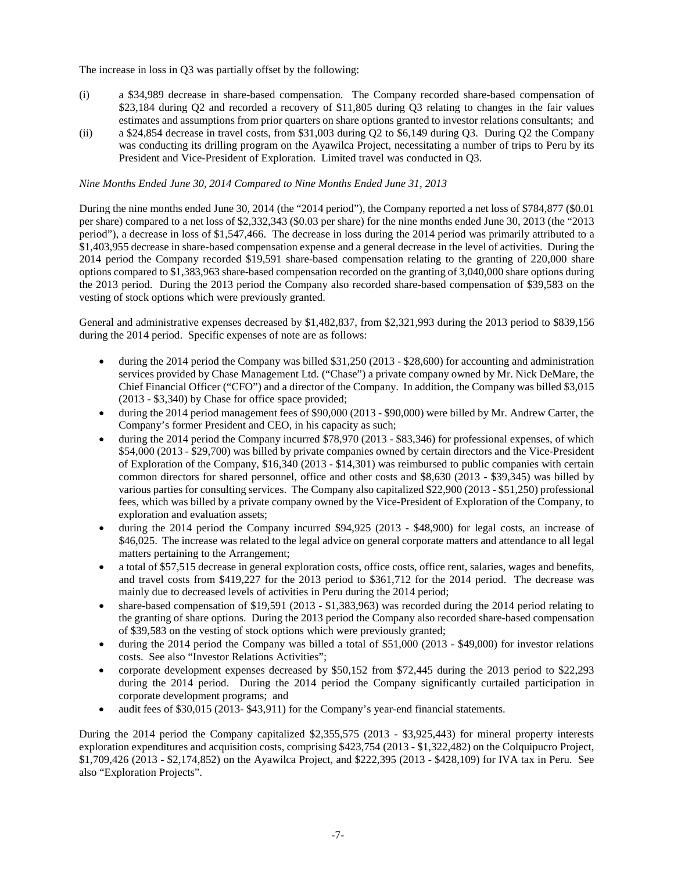The increase in loss in Q3 was partially offset by the following:

- (i) a \$34,989 decrease in share-based compensation. The Company recorded share-based compensation of \$23,184 during Q2 and recorded a recovery of \$11,805 during Q3 relating to changes in the fair values estimates and assumptions from prior quarters on share options granted to investor relations consultants; and
- (ii) a \$24,854 decrease in travel costs, from \$31,003 during Q2 to \$6,149 during Q3. During Q2 the Company was conducting its drilling program on the Ayawilca Project, necessitating a number of trips to Peru by its President and Vice-President of Exploration. Limited travel was conducted in Q3.

## *Nine Months Ended June 30, 2014 Compared to Nine Months Ended June 31, 2013*

During the nine months ended June 30, 2014 (the "2014 period"), the Company reported a net loss of \$784,877 (\$0.01 per share) compared to a net loss of \$2,332,343 (\$0.03 per share) for the nine months ended June 30, 2013 (the "2013 period"), a decrease in loss of \$1,547,466. The decrease in loss during the 2014 period was primarily attributed to a \$1,403,955 decrease in share-based compensation expense and a general decrease in the level of activities. During the 2014 period the Company recorded \$19,591 share-based compensation relating to the granting of 220,000 share options compared to \$1,383,963 share-based compensation recorded on the granting of 3,040,000 share options during the 2013 period. During the 2013 period the Company also recorded share-based compensation of \$39,583 on the vesting of stock options which were previously granted.

General and administrative expenses decreased by \$1,482,837, from \$2,321,993 during the 2013 period to \$839,156 during the 2014 period. Specific expenses of note are as follows:

- during the 2014 period the Company was billed \$31,250 (2013 \$28,600) for accounting and administration services provided by Chase Management Ltd. ("Chase") a private company owned by Mr. Nick DeMare, the Chief Financial Officer ("CFO") and a director of the Company. In addition, the Company was billed \$3,015 (2013 - \$3,340) by Chase for office space provided;
- during the 2014 period management fees of \$90,000 (2013 \$90,000) were billed by Mr. Andrew Carter, the Company's former President and CEO, in his capacity as such;
- during the 2014 period the Company incurred \$78,970 (2013 \$83,346) for professional expenses, of which \$54,000 (2013 - \$29,700) was billed by private companies owned by certain directors and the Vice-President of Exploration of the Company, \$16,340 (2013 - \$14,301) was reimbursed to public companies with certain common directors for shared personnel, office and other costs and \$8,630 (2013 - \$39,345) was billed by various parties for consulting services. The Company also capitalized \$22,900 (2013 - \$51,250) professional fees, which was billed by a private company owned by the Vice-President of Exploration of the Company, to exploration and evaluation assets;
- during the 2014 period the Company incurred \$94,925 (2013 \$48,900) for legal costs, an increase of \$46,025. The increase was related to the legal advice on general corporate matters and attendance to all legal matters pertaining to the Arrangement;
- a total of \$57,515 decrease in general exploration costs, office costs, office rent, salaries, wages and benefits, and travel costs from \$419,227 for the 2013 period to \$361,712 for the 2014 period. The decrease was mainly due to decreased levels of activities in Peru during the 2014 period;
- share-based compensation of \$19,591 (2013 \$1,383,963) was recorded during the 2014 period relating to the granting of share options. During the 2013 period the Company also recorded share-based compensation of \$39,583 on the vesting of stock options which were previously granted;
- during the 2014 period the Company was billed a total of \$51,000 (2013 \$49,000) for investor relations costs. See also "Investor Relations Activities";
- corporate development expenses decreased by \$50,152 from \$72,445 during the 2013 period to \$22,293 during the 2014 period. During the 2014 period the Company significantly curtailed participation in corporate development programs; and
- audit fees of \$30,015 (2013- \$43,911) for the Company's year-end financial statements.

During the 2014 period the Company capitalized \$2,355,575 (2013 - \$3,925,443) for mineral property interests exploration expenditures and acquisition costs, comprising \$423,754 (2013 - \$1,322,482) on the Colquipucro Project, \$1,709,426 (2013 - \$2,174,852) on the Ayawilca Project, and \$222,395 (2013 - \$428,109) for IVA tax in Peru. See also "Exploration Projects".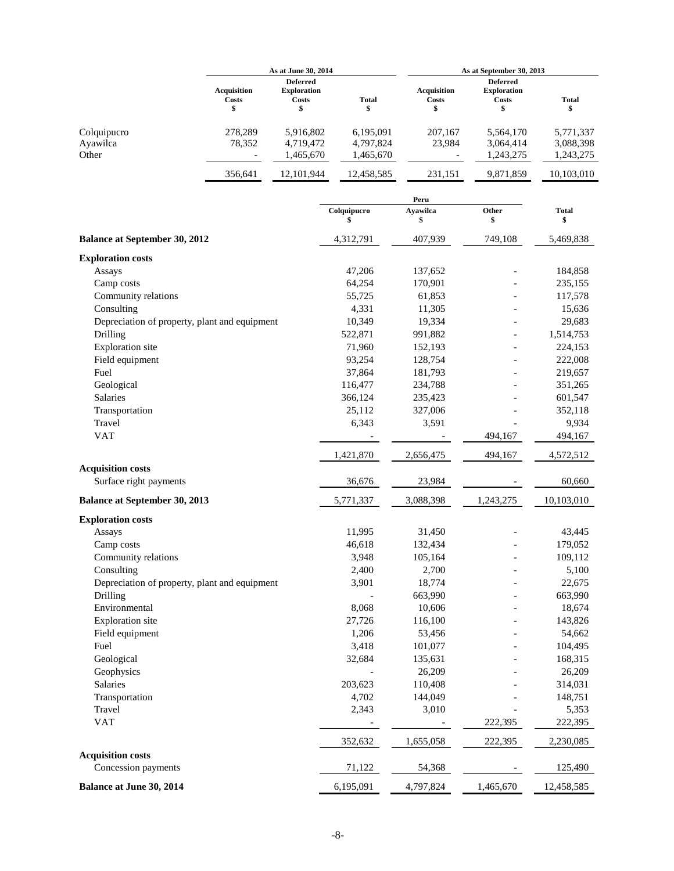|                                                    | As at June 30, 2014               |                                                      | As at September 30, 2013            |                                          |                                                            |                                     |
|----------------------------------------------------|-----------------------------------|------------------------------------------------------|-------------------------------------|------------------------------------------|------------------------------------------------------------|-------------------------------------|
|                                                    | <b>Acquisition</b><br>Costs<br>\$ | <b>Deferred</b><br><b>Exploration</b><br>Costs<br>\$ | <b>Total</b><br>\$                  | <b>Acquisition</b><br><b>Costs</b><br>\$ | <b>Deferred</b><br><b>Exploration</b><br><b>Costs</b><br>S | <b>Total</b><br>\$                  |
| Colquipucro<br>Ayawilca<br>Other                   | 278.289<br>78,352                 | 5,916,802<br>4,719,472<br>1,465,670                  | 6,195,091<br>4,797,824<br>1,465,670 | 207,167<br>23,984                        | 5,564,170<br>3,064,414<br>1,243,275                        | 5,771,337<br>3,088,398<br>1,243,275 |
|                                                    | 356,641                           | 12,101,944                                           | 12,458,585                          | 231,151                                  | 9,871,859                                                  | 10,103,010                          |
|                                                    |                                   |                                                      |                                     | Peru                                     |                                                            |                                     |
|                                                    |                                   |                                                      | Colquipucro<br>\$                   | <b>Ayawilca</b><br>\$                    | Other<br>\$                                                | <b>Total</b><br>\$                  |
| <b>Balance at September 30, 2012</b>               |                                   |                                                      | 4,312,791                           | 407,939                                  | 749,108                                                    | 5,469,838                           |
| <b>Exploration costs</b>                           |                                   |                                                      |                                     |                                          |                                                            |                                     |
| Assays                                             |                                   |                                                      | 47,206                              | 137,652                                  |                                                            | 184,858                             |
| Camp costs                                         |                                   |                                                      | 64,254                              | 170,901                                  |                                                            | 235,155                             |
| Community relations                                |                                   |                                                      | 55,725                              | 61,853                                   |                                                            | 117,578                             |
| Consulting                                         |                                   |                                                      | 4,331                               | 11,305                                   |                                                            | 15,636                              |
| Depreciation of property, plant and equipment      |                                   |                                                      | 10,349                              | 19,334                                   |                                                            | 29,683                              |
| Drilling                                           |                                   |                                                      | 522,871                             | 991,882                                  |                                                            | 1,514,753                           |
| <b>Exploration</b> site                            |                                   |                                                      | 71,960                              | 152,193                                  |                                                            | 224,153                             |
| Field equipment                                    |                                   |                                                      | 93,254                              | 128,754                                  |                                                            | 222,008                             |
| Fuel                                               |                                   |                                                      | 37,864                              | 181,793                                  |                                                            | 219,657                             |
| Geological                                         |                                   |                                                      | 116,477                             | 234,788                                  |                                                            | 351,265                             |
| Salaries                                           |                                   |                                                      | 366,124                             | 235,423                                  |                                                            | 601,547                             |
| Transportation                                     |                                   |                                                      | 25,112                              | 327,006                                  |                                                            | 352,118                             |
| Travel                                             |                                   |                                                      | 6,343                               | 3,591                                    |                                                            | 9,934                               |
| <b>VAT</b>                                         |                                   |                                                      |                                     |                                          | 494,167                                                    | 494,167                             |
|                                                    |                                   |                                                      | 1,421,870                           | 2,656,475                                | 494,167                                                    | 4,572,512                           |
| <b>Acquisition costs</b><br>Surface right payments |                                   |                                                      | 36,676                              | 23,984                                   |                                                            | 60,660                              |
| <b>Balance at September 30, 2013</b>               |                                   |                                                      | 5,771,337                           | 3,088,398                                | 1,243,275                                                  | 10,103,010                          |
| <b>Exploration costs</b>                           |                                   |                                                      |                                     |                                          |                                                            |                                     |
| Assays                                             |                                   |                                                      | 11,995                              | 31,450                                   |                                                            | 43,445                              |
| Camp costs                                         |                                   |                                                      | 46,618                              | 132,434                                  |                                                            | 179,052                             |
| Community relations                                |                                   |                                                      | 3,948                               | 105,164                                  | -                                                          | 109,112                             |
| Consulting                                         |                                   |                                                      | 2,400                               | 2,700                                    |                                                            | 5,100                               |
| Depreciation of property, plant and equipment      |                                   |                                                      | 3,901                               | 18,774                                   |                                                            | 22,675                              |
| Drilling                                           |                                   |                                                      |                                     | 663,990                                  |                                                            | 663,990                             |
| Environmental                                      |                                   |                                                      | 8,068                               | 10,606                                   |                                                            | 18,674                              |
| Exploration site                                   |                                   |                                                      | 27,726                              | 116,100                                  |                                                            | 143,826                             |
| Field equipment                                    |                                   |                                                      | 1,206                               | 53,456                                   |                                                            | 54,662                              |
| Fuel                                               |                                   |                                                      | 3,418                               | 101,077                                  |                                                            | 104,495                             |
| Geological                                         |                                   |                                                      | 32,684                              | 135,631                                  |                                                            | 168,315                             |
| Geophysics                                         |                                   |                                                      |                                     | 26,209                                   |                                                            | 26,209                              |
| <b>Salaries</b>                                    |                                   |                                                      | 203,623                             | 110,408                                  |                                                            | 314,031                             |
| Transportation                                     |                                   |                                                      | 4,702                               | 144,049                                  |                                                            | 148,751                             |
| Travel                                             |                                   |                                                      | 2,343                               | 3,010                                    |                                                            | 5,353                               |
| <b>VAT</b>                                         |                                   |                                                      |                                     |                                          | 222,395                                                    | 222,395                             |
|                                                    |                                   |                                                      | 352,632                             | 1,655,058                                | 222,395                                                    | 2,230,085                           |
| <b>Acquisition costs</b><br>Concession payments    |                                   |                                                      | 71,122                              | 54,368                                   |                                                            | 125,490                             |
| Balance at June 30, 2014                           |                                   |                                                      | 6,195,091                           | 4,797,824                                | 1,465,670                                                  | 12,458,585                          |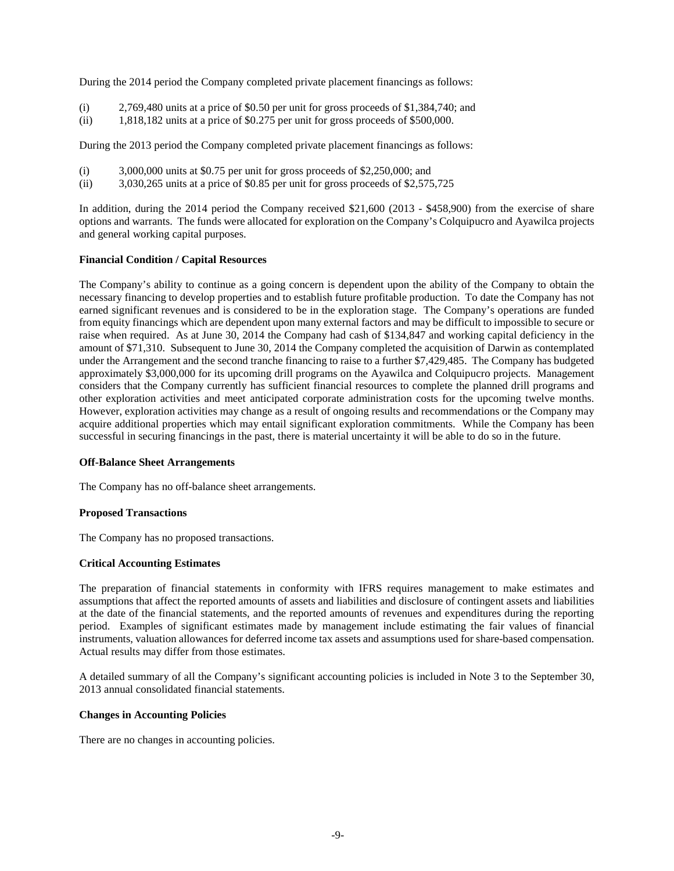During the 2014 period the Company completed private placement financings as follows:

- (i) 2,769,480 units at a price of \$0.50 per unit for gross proceeds of \$1,384,740; and
- (ii) 1,818,182 units at a price of \$0.275 per unit for gross proceeds of \$500,000.

During the 2013 period the Company completed private placement financings as follows:

- $(i)$  3,000,000 units at \$0.75 per unit for gross proceeds of \$2,250,000; and
- (ii) 3,030,265 units at a price of \$0.85 per unit for gross proceeds of \$2,575,725

In addition, during the 2014 period the Company received \$21,600 (2013 - \$458,900) from the exercise of share options and warrants. The funds were allocated for exploration on the Company's Colquipucro and Ayawilca projects and general working capital purposes.

#### **Financial Condition / Capital Resources**

The Company's ability to continue as a going concern is dependent upon the ability of the Company to obtain the necessary financing to develop properties and to establish future profitable production. To date the Company has not earned significant revenues and is considered to be in the exploration stage. The Company's operations are funded from equity financings which are dependent upon many external factors and may be difficult to impossible to secure or raise when required. As at June 30, 2014 the Company had cash of \$134,847 and working capital deficiency in the amount of \$71,310. Subsequent to June 30, 2014 the Company completed the acquisition of Darwin as contemplated under the Arrangement and the second tranche financing to raise to a further \$7,429,485. The Company has budgeted approximately \$3,000,000 for its upcoming drill programs on the Ayawilca and Colquipucro projects. Management considers that the Company currently has sufficient financial resources to complete the planned drill programs and other exploration activities and meet anticipated corporate administration costs for the upcoming twelve months. However, exploration activities may change as a result of ongoing results and recommendations or the Company may acquire additional properties which may entail significant exploration commitments. While the Company has been successful in securing financings in the past, there is material uncertainty it will be able to do so in the future.

#### **Off-Balance Sheet Arrangements**

The Company has no off-balance sheet arrangements.

#### **Proposed Transactions**

The Company has no proposed transactions.

#### **Critical Accounting Estimates**

The preparation of financial statements in conformity with IFRS requires management to make estimates and assumptions that affect the reported amounts of assets and liabilities and disclosure of contingent assets and liabilities at the date of the financial statements, and the reported amounts of revenues and expenditures during the reporting period. Examples of significant estimates made by management include estimating the fair values of financial instruments, valuation allowances for deferred income tax assets and assumptions used for share-based compensation. Actual results may differ from those estimates.

A detailed summary of all the Company's significant accounting policies is included in Note 3 to the September 30, 2013 annual consolidated financial statements.

## **Changes in Accounting Policies**

There are no changes in accounting policies.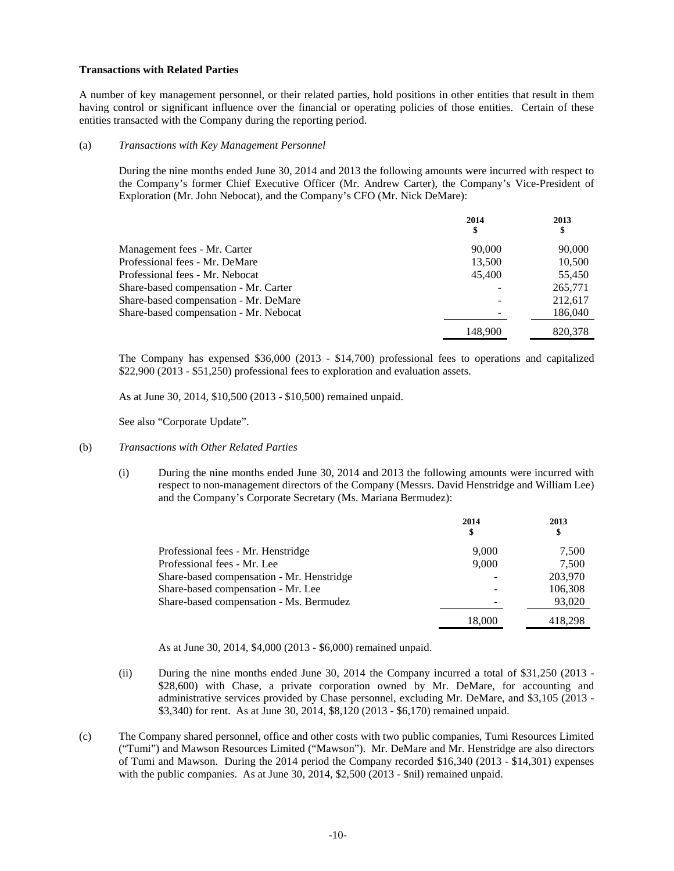#### **Transactions with Related Parties**

A number of key management personnel, or their related parties, hold positions in other entities that result in them having control or significant influence over the financial or operating policies of those entities. Certain of these entities transacted with the Company during the reporting period.

#### (a) *Transactions with Key Management Personnel*

During the nine months ended June 30, 2014 and 2013 the following amounts were incurred with respect to the Company's former Chief Executive Officer (Mr. Andrew Carter), the Company's Vice-President of Exploration (Mr. John Nebocat), and the Company's CFO (Mr. Nick DeMare):

|                                        | 2014<br>\$ | 2013<br>\$ |
|----------------------------------------|------------|------------|
| Management fees - Mr. Carter           | 90,000     | 90,000     |
| Professional fees - Mr. DeMare         | 13,500     | 10,500     |
| Professional fees - Mr. Nebocat        | 45,400     | 55,450     |
| Share-based compensation - Mr. Carter  |            | 265,771    |
| Share-based compensation - Mr. DeMare  |            | 212.617    |
| Share-based compensation - Mr. Nebocat |            | 186,040    |
|                                        | 148,900    | 820,378    |

The Company has expensed \$36,000 (2013 - \$14,700) professional fees to operations and capitalized \$22,900 (2013 - \$51,250) professional fees to exploration and evaluation assets.

As at June 30, 2014, \$10,500 (2013 - \$10,500) remained unpaid.

See also "Corporate Update".

## (b) *Transactions with Other Related Parties*

(i) During the nine months ended June 30, 2014 and 2013 the following amounts were incurred with respect to non-management directors of the Company (Messrs. David Henstridge and William Lee) and the Company's Corporate Secretary (Ms. Mariana Bermudez):

|                                           | 2014<br>\$ | 2013<br>\$ |
|-------------------------------------------|------------|------------|
| Professional fees - Mr. Henstridge        | 9.000      | 7,500      |
| Professional fees - Mr. Lee               | 9,000      | 7.500      |
| Share-based compensation - Mr. Henstridge |            | 203,970    |
| Share-based compensation - Mr. Lee        |            | 106,308    |
| Share-based compensation - Ms. Bermudez   |            | 93,020     |
|                                           | 18,000     | 418,298    |

As at June 30, 2014, \$4,000 (2013 - \$6,000) remained unpaid.

- (ii) During the nine months ended June 30, 2014 the Company incurred a total of \$31,250 (2013 \$28,600) with Chase, a private corporation owned by Mr. DeMare, for accounting and administrative services provided by Chase personnel, excluding Mr. DeMare, and \$3,105 (2013 - \$3,340) for rent. As at June 30, 2014, \$8,120 (2013 - \$6,170) remained unpaid.
- (c) The Company shared personnel, office and other costs with two public companies, Tumi Resources Limited ("Tumi") and Mawson Resources Limited ("Mawson"). Mr. DeMare and Mr. Henstridge are also directors of Tumi and Mawson. During the 2014 period the Company recorded \$16,340 (2013 - \$14,301) expenses with the public companies. As at June 30, 2014, \$2,500 (2013 - \$nil) remained unpaid.